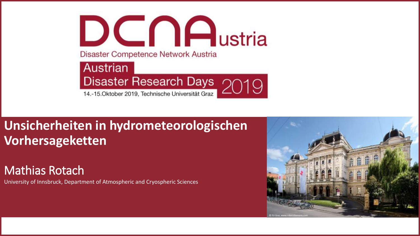

## **Unsicherheiten in hydrometeorologischen Vorhersageketten**

#### Mathias Rotach

University of Innsbruck, Department of Atmospheric and Cryospheric Sciences

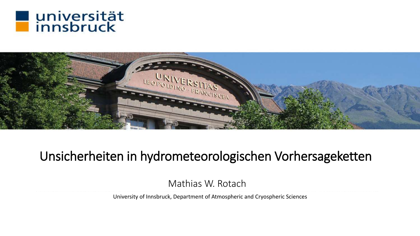



## Unsicherheiten in hydrometeorologischen Vorhersageketten

Mathias W. Rotach

University of Innsbruck, Department of Atmospheric and Cryospheric Sciences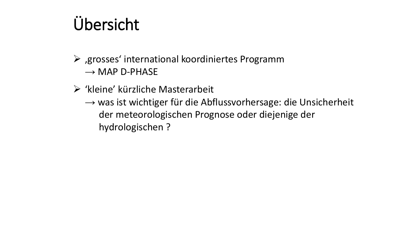# Übersicht

- $\triangleright$ , grosses' international koordiniertes Programm  $\rightarrow$  MAP D-PHASE
- ➢ 'kleine' kürzliche Masterarbeit
	- → was ist wichtiger für die Abflussvorhersage: die Unsicherheit der meteorologischen Prognose oder diejenige der hydrologischen ?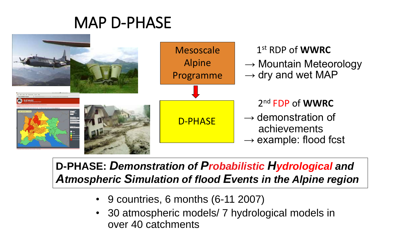## MAP D-PHASE



#### **D-PHASE:** *Demonstration of Probabilistic Hydrological and Atmospheric Simulation of flood Events in the Alpine region*

- 9 countries, 6 months (6-11 2007)
- 30 atmospheric models/ 7 hydrological models in over 40 catchments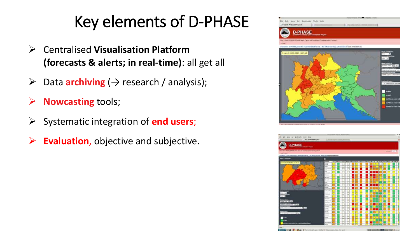# Key elements of D-PHASE

- ➢ Centralised **Visualisation Platform (forecasts & alerts; in real-time)**: all get all
- $\triangleright$  Data **archiving** ( $\rightarrow$  research / analysis);
- ➢ **Nowcasting** tools;
- ➢ Systematic integration of **end users**;
- ➢ **Evaluation**, objective and subjective.



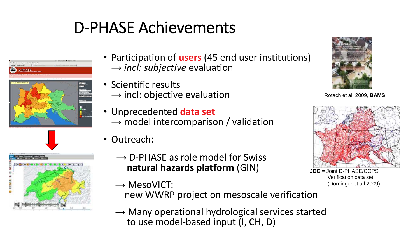# D-PHASE Achievements





- Participation of **users** (45 end user institutions) → *incl: subjective* evaluation
- Scientific results  $\rightarrow$  incl: objective evaluation
- Unprecedented **data set**  $\rightarrow$  model intercomparison / validation
- Outreach:
	- $\rightarrow$  D-PHASE as role model for Swiss **natural hazards platform** (GIN)
	- $\rightarrow$  MesoVICT:
		- new WWRP project on mesoscale verification
	- $\rightarrow$  Many operational hydrological services started to use model-based input (I, CH, D)



Rotach et al. 2009, **BAMS**



Verification data set (Dorninger et a.l 2009)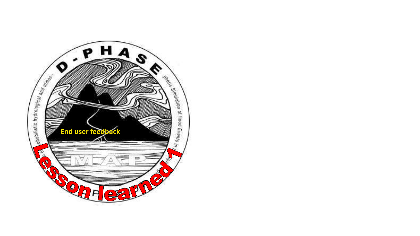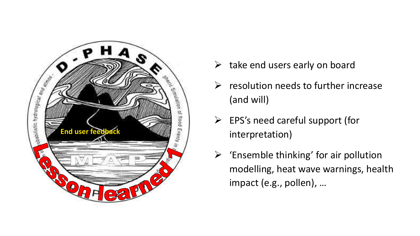

- $\triangleright$  take end users early on board
- $\triangleright$  resolution needs to further increase (and will)
- ➢ EPS's need careful support (for interpretation)
- $\triangleright$  'Ensemble thinking' for air pollution modelling, heat wave warnings, health impact (e.g., pollen), …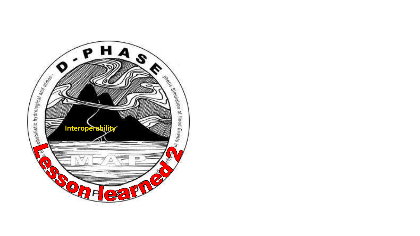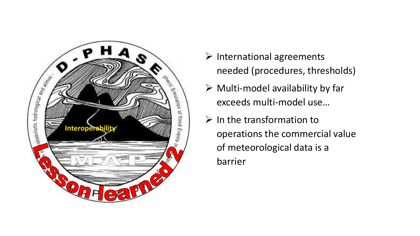

- ➢ International agreements needed (procedures, thresholds)
- $\triangleright$  Multi-model availability by far exceeds multi-model use…
- $\triangleright$  In the transformation to operations the commercial value of meteorological data is a barrier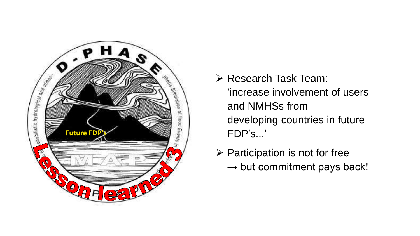

- ➢ Research Task Team: 'increase involvement of users and NMHSs from developing countries in future FDP 's... '
- ➢ Participation is not for free  $\rightarrow$  but commitment pays back!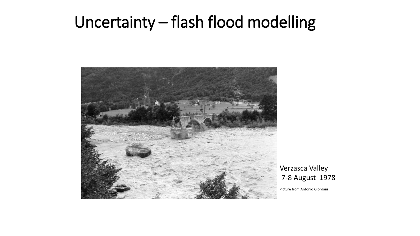## Uncertainty – flash flood modelling



Verzasca Valley 7-8 August 1978

Picture from Antonio Giordani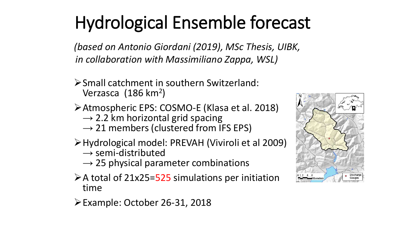*(based on Antonio Giordani (2019), MSc Thesis, UIBK, in collaboration with Massimiliano Zappa, WSL)*

- ➢Small catchment in southern Switzerland: Verzasca (186 km<sup>2</sup>)
- ➢Atmospheric EPS: COSMO-E (Klasa et al. 2018)
	- → 2.2 km horizontal grid spacing
	- *→* 21 members (clustered from IFS EPS)
- ➢Hydrological model: PREVAH (Viviroli et al 2009)
	- *→* semi-distributed
	- → 25 physical parameter combinations
- $\triangleright$  A total of 21x25=525 simulations per initiation time
- ➢Example: October 26-31, 2018

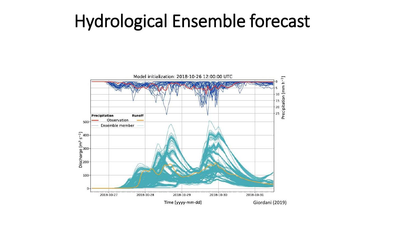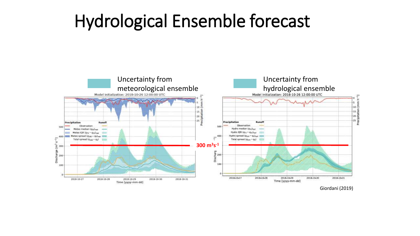

Giordani (2019)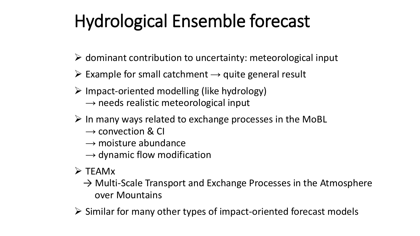- $\triangleright$  dominant contribution to uncertainty: meteorological input
- ➢ Example for small catchment *→* quite general result
- $\triangleright$  Impact-oriented modelling (like hydrology) *→* needs realistic meteorological input
- $\triangleright$  In many ways related to exchange processes in the MoBL
	- *→* convection & CI
	- *→* moisture abundance
	- *→* dynamic flow modification
- ➢ TEAMx
	- $\rightarrow$  Multi-Scale Transport and Exchange Processes in the Atmosphere over Mountains
- ➢ Similar for many other types of impact-oriented forecast models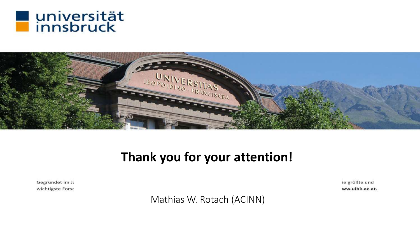



## **Thank you for your attention!**

Gegründet im Ja wichtigste Forsc ie größte und ww.uibk.ac.at.

Mathias W. Rotach (ACINN)